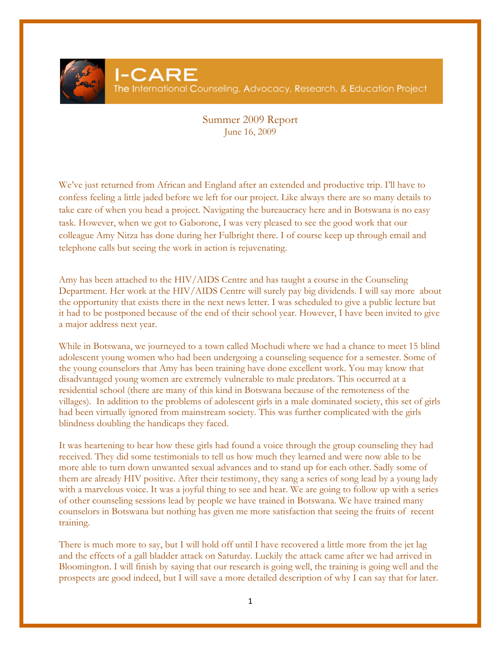

## Summer 2009 Report June 16, 2009

We've just returned from African and England after an extended and productive trip. I'll have to confess feeling a little jaded before we left for our project. Like always there are so many details to take care of when you head a project. Navigating the bureaucracy here and in Botswana is no easy task. However, when we got to Gaborone, I was very pleased to see the good work that our colleague Amy Nitza has done during her Fulbright there. I of course keep up through email and telephone calls but seeing the work in action is rejuvenating.

Amy has been attached to the HIV/AIDS Centre and has taught a course in the Counseling Department. Her work at the HIV/AIDS Centre will surely pay big dividends. I will say more about the opportunity that exists there in the next news letter. I was scheduled to give a public lecture but it had to be postponed because of the end of their school year. However, I have been invited to give a major address next year.

While in Botswana, we journeyed to a town called Mochudi where we had a chance to meet 15 blind adolescent young women who had been undergoing a counseling sequence for a semester. Some of the young counselors that Amy has been training have done excellent work. You may know that disadvantaged young women are extremely vulnerable to male predators. This occurred at a residential school (there are many of this kind in Botswana because of the remoteness of the villages). In addition to the problems of adolescent girls in a male dominated society, this set of girls had been virtually ignored from mainstream society. This was further complicated with the girls blindness doubling the handicaps they faced.

It was heartening to hear how these girls had found a voice through the group counseling they had received. They did some testimonials to tell us how much they learned and were now able to be more able to turn down unwanted sexual advances and to stand up for each other. Sadly some of them are already HIV positive. After their testimony, they sang a series of song lead by a young lady with a marvelous voice. It was a joyful thing to see and hear. We are going to follow up with a series of other counseling sessions lead by people we have trained in Botswana. We have trained many counselors in Botswana but nothing has given me more satisfaction that seeing the fruits of recent training.

There is much more to say, but I will hold off until I have recovered a little more from the jet lag and the effects of a gall bladder attack on Saturday. Luckily the attack came after we had arrived in Bloomington. I will finish by saying that our research is going well, the training is going well and the prospects are good indeed, but I will save a more detailed description of why I can say that for later.